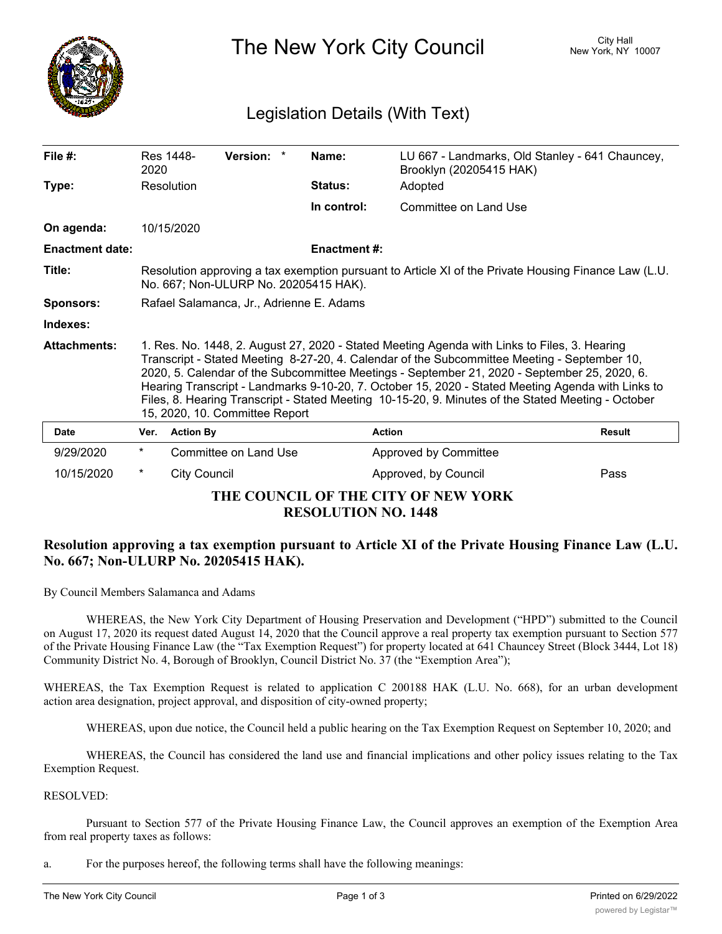

The New York City Council New York, NY 10007

## Legislation Details (With Text)

| File $#$ :                                                        | 2020                                                                                                                                                                                                                                                                                                                                                                                                                                                                                                                                      | Res 1448-           | Version: *            |  | Name:               | LU 667 - Landmarks, Old Stanley - 641 Chauncey,<br>Brooklyn (20205415 HAK) |               |
|-------------------------------------------------------------------|-------------------------------------------------------------------------------------------------------------------------------------------------------------------------------------------------------------------------------------------------------------------------------------------------------------------------------------------------------------------------------------------------------------------------------------------------------------------------------------------------------------------------------------------|---------------------|-----------------------|--|---------------------|----------------------------------------------------------------------------|---------------|
| Type:                                                             |                                                                                                                                                                                                                                                                                                                                                                                                                                                                                                                                           | Resolution          |                       |  | <b>Status:</b>      | Adopted                                                                    |               |
|                                                                   |                                                                                                                                                                                                                                                                                                                                                                                                                                                                                                                                           |                     |                       |  | In control:         | Committee on Land Use                                                      |               |
| On agenda:                                                        |                                                                                                                                                                                                                                                                                                                                                                                                                                                                                                                                           | 10/15/2020          |                       |  |                     |                                                                            |               |
| <b>Enactment date:</b>                                            |                                                                                                                                                                                                                                                                                                                                                                                                                                                                                                                                           |                     |                       |  | <b>Enactment #:</b> |                                                                            |               |
| Title:                                                            | Resolution approving a tax exemption pursuant to Article XI of the Private Housing Finance Law (L.U.<br>No. 667; Non-ULURP No. 20205415 HAK).                                                                                                                                                                                                                                                                                                                                                                                             |                     |                       |  |                     |                                                                            |               |
| <b>Sponsors:</b>                                                  | Rafael Salamanca, Jr., Adrienne E. Adams                                                                                                                                                                                                                                                                                                                                                                                                                                                                                                  |                     |                       |  |                     |                                                                            |               |
| Indexes:                                                          |                                                                                                                                                                                                                                                                                                                                                                                                                                                                                                                                           |                     |                       |  |                     |                                                                            |               |
| <b>Attachments:</b>                                               | 1. Res. No. 1448, 2. August 27, 2020 - Stated Meeting Agenda with Links to Files, 3. Hearing<br>Transcript - Stated Meeting 8-27-20, 4. Calendar of the Subcommittee Meeting - September 10,<br>2020, 5. Calendar of the Subcommittee Meetings - September 21, 2020 - September 25, 2020, 6.<br>Hearing Transcript - Landmarks 9-10-20, 7. October 15, 2020 - Stated Meeting Agenda with Links to<br>Files, 8. Hearing Transcript - Stated Meeting 10-15-20, 9. Minutes of the Stated Meeting - October<br>15, 2020, 10. Committee Report |                     |                       |  |                     |                                                                            |               |
| <b>Date</b>                                                       | Ver.                                                                                                                                                                                                                                                                                                                                                                                                                                                                                                                                      | <b>Action By</b>    |                       |  |                     | <b>Action</b>                                                              | <b>Result</b> |
| 9/29/2020                                                         | $^\star$                                                                                                                                                                                                                                                                                                                                                                                                                                                                                                                                  |                     | Committee on Land Use |  |                     | Approved by Committee                                                      |               |
| 10/15/2020                                                        | $^\star$                                                                                                                                                                                                                                                                                                                                                                                                                                                                                                                                  | <b>City Council</b> |                       |  |                     | Approved, by Council                                                       | Pass          |
| THE COUNCIL OF THE CITY OF NEW YORK<br><b>RESOLUTION NO. 1448</b> |                                                                                                                                                                                                                                                                                                                                                                                                                                                                                                                                           |                     |                       |  |                     |                                                                            |               |

## **Resolution approving a tax exemption pursuant to Article XI of the Private Housing Finance Law (L.U. No. 667; Non-ULURP No. 20205415 HAK).**

By Council Members Salamanca and Adams

WHEREAS, the New York City Department of Housing Preservation and Development ("HPD") submitted to the Council on August 17, 2020 its request dated August 14, 2020 that the Council approve a real property tax exemption pursuant to Section 577 of the Private Housing Finance Law (the "Tax Exemption Request") for property located at 641 Chauncey Street (Block 3444, Lot 18) Community District No. 4, Borough of Brooklyn, Council District No. 37 (the "Exemption Area");

WHEREAS, the Tax Exemption Request is related to application C 200188 HAK (L.U. No. 668), for an urban development action area designation, project approval, and disposition of city-owned property;

WHEREAS, upon due notice, the Council held a public hearing on the Tax Exemption Request on September 10, 2020; and

WHEREAS, the Council has considered the land use and financial implications and other policy issues relating to the Tax Exemption Request.

## RESOLVED:

Pursuant to Section 577 of the Private Housing Finance Law, the Council approves an exemption of the Exemption Area from real property taxes as follows:

a. For the purposes hereof, the following terms shall have the following meanings: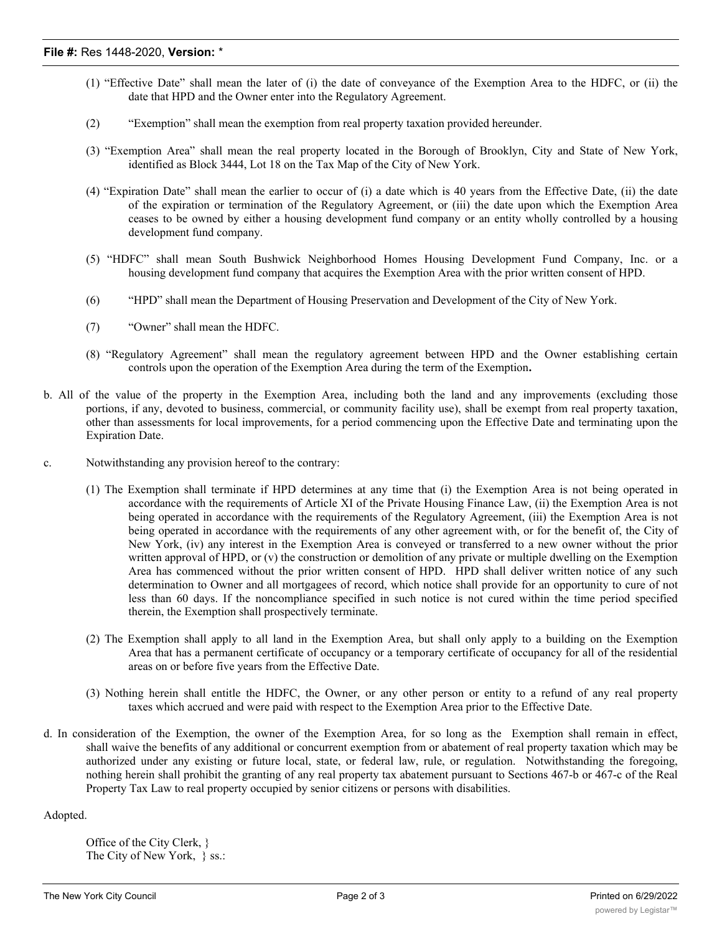- (1) "Effective Date" shall mean the later of (i) the date of conveyance of the Exemption Area to the HDFC, or (ii) the date that HPD and the Owner enter into the Regulatory Agreement.
- (2) "Exemption" shall mean the exemption from real property taxation provided hereunder.
- (3) "Exemption Area" shall mean the real property located in the Borough of Brooklyn, City and State of New York, identified as Block 3444, Lot 18 on the Tax Map of the City of New York.
- (4) "Expiration Date" shall mean the earlier to occur of (i) a date which is 40 years from the Effective Date, (ii) the date of the expiration or termination of the Regulatory Agreement, or (iii) the date upon which the Exemption Area ceases to be owned by either a housing development fund company or an entity wholly controlled by a housing development fund company.
- (5) "HDFC" shall mean South Bushwick Neighborhood Homes Housing Development Fund Company, Inc. or a housing development fund company that acquires the Exemption Area with the prior written consent of HPD.
- (6) "HPD" shall mean the Department of Housing Preservation and Development of the City of New York.
- (7) "Owner" shall mean the HDFC.
- (8) "Regulatory Agreement" shall mean the regulatory agreement between HPD and the Owner establishing certain controls upon the operation of the Exemption Area during the term of the Exemption**.**
- b. All of the value of the property in the Exemption Area, including both the land and any improvements (excluding those portions, if any, devoted to business, commercial, or community facility use), shall be exempt from real property taxation, other than assessments for local improvements, for a period commencing upon the Effective Date and terminating upon the Expiration Date.
- c. Notwithstanding any provision hereof to the contrary:
	- (1) The Exemption shall terminate if HPD determines at any time that (i) the Exemption Area is not being operated in accordance with the requirements of Article XI of the Private Housing Finance Law, (ii) the Exemption Area is not being operated in accordance with the requirements of the Regulatory Agreement, (iii) the Exemption Area is not being operated in accordance with the requirements of any other agreement with, or for the benefit of, the City of New York, (iv) any interest in the Exemption Area is conveyed or transferred to a new owner without the prior written approval of HPD, or (v) the construction or demolition of any private or multiple dwelling on the Exemption Area has commenced without the prior written consent of HPD. HPD shall deliver written notice of any such determination to Owner and all mortgagees of record, which notice shall provide for an opportunity to cure of not less than 60 days. If the noncompliance specified in such notice is not cured within the time period specified therein, the Exemption shall prospectively terminate.
	- (2) The Exemption shall apply to all land in the Exemption Area, but shall only apply to a building on the Exemption Area that has a permanent certificate of occupancy or a temporary certificate of occupancy for all of the residential areas on or before five years from the Effective Date.
	- (3) Nothing herein shall entitle the HDFC, the Owner, or any other person or entity to a refund of any real property taxes which accrued and were paid with respect to the Exemption Area prior to the Effective Date.
- d. In consideration of the Exemption, the owner of the Exemption Area, for so long as the Exemption shall remain in effect, shall waive the benefits of any additional or concurrent exemption from or abatement of real property taxation which may be authorized under any existing or future local, state, or federal law, rule, or regulation. Notwithstanding the foregoing, nothing herein shall prohibit the granting of any real property tax abatement pursuant to Sections 467-b or 467-c of the Real Property Tax Law to real property occupied by senior citizens or persons with disabilities.

Adopted.

Office of the City Clerk, } The City of New York, } ss.: